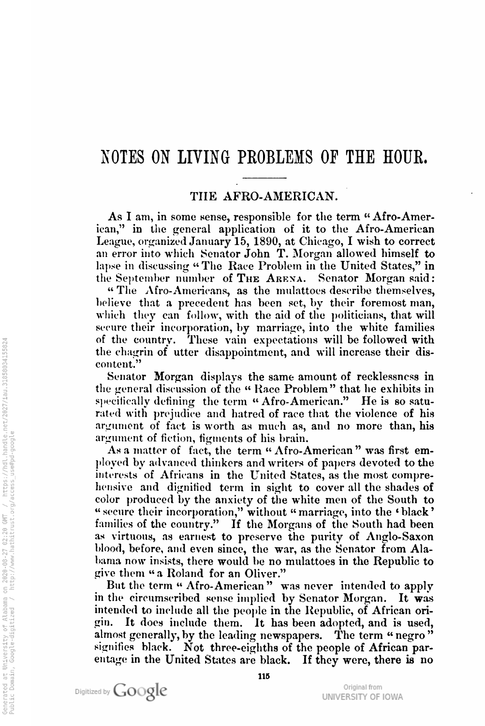## NOTES ON LIVING PROBLEMS OF THE HOUR,

## THE AFRO-AMERICAN.

As I am, in some sense, responsible for the term "Afro-American," in the general application of it to the Afro-American League, organized January 15, 1890, at Chicago, I wish to correct an error into which Senator John T. Morgan allowed himself to lapse in discussing "The Race Problem in the United States," in the September number of THE ARENA. Senator Morgan said:

"The Afro-Americans, as the mulattoes describe themselves, believe that a precedent has been set, by their foremost man, which they can follow, with the aid of the politicians, that will secure their incorporation, by marriage, into the white families of the country. These vain expectations will be followed with the chagrin of utter disappointment, and will increase their dis content."

Senator Morgan displays the same amount of recklessness in the general discussion of the "Race Problem" that he exhibits in specifically defining the term "Afro-American." He is so saturated with prejudice and hatred of race that the violence of his argument of fact is worth as much as, and no more than, his argument of fiction, figments of his brain.

As a matter of fact, the term "Afro-American" was first employed by advanced thinkers and writers of papers devoted to the interests of Africans in the United States, as the most compre hensive and dignified term in sight to cover all the shades of color produced by the anxiety of the white men of the South to " secure their incorporation," without "marriage, into the 'black' families of the country." If the Morgans of the South had been s virtuous, as earnest to preserve the purity of Anglo-Saxo blood, before, and even since, the war, as the Senator from Ala  $b$ ama now insists, there would be no mulattoes in the Republic to give them "a Roland for an Oliver."

But the term "Afro-American" was never intended to apply inthe circumscribed sense implied by Senator Morgan. It was intended to include all the people in the Republic, of African ori gin. It does include them. It has been adopted, and is used almost generally, by the leading newspapers. The term "negro" signifies black. Not three-eighths of the people of African parentage in the United States are black. If they were, there is no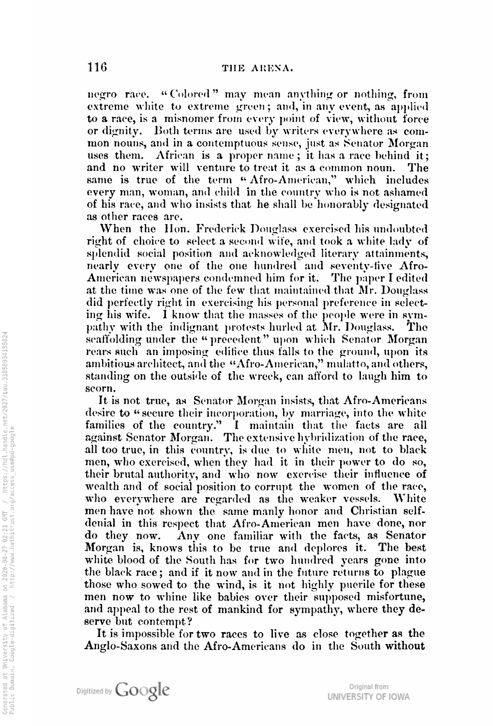negro race. "Colored" may mean anything or nothing, from extreme white to extreme green; and, in any event, as applied to a race, is <sup>a</sup> misnomer from every point of view, without force or dignity. Both terms are used by writers everywhere as com mon nouns, and in a contemptuous sense, just as Senator Morgan uses them. African is a proper name; it has a race behind it;<br>and no writer will venture to treat it as a common noun. The and no writer will venture to treat it as a common noun. same is true of the term "Afro-American," which includes every man, woman, and child in the country who is not ashamed of his race, and who insists that he shall be honorably designated as other races are.

When the Hon. Frederick Douglass exercised his undoubted right of choice to select a second wife, and took a white lady of splendid social position and acknowledged literary attainments, nearly every one of the one hundred and seventy-five Afro American newspapers condemned him for it. The paper <sup>I</sup>edited at the time was one of the few that maintained that Mr. Douglass did perfectly right in exercising his personal preference in select ing his wife. <sup>I</sup> know that the masses of the people were insym pathy with the indignant protests hurled at Mr. Douglass. The scaffolding under the "precedent" upon which Senator Morgan rears such an imposing edifice thus falls to the ground, upon its ambitious architect, and the "Afro-American," mulatto, and others, standing on the outside of the wreck, can afford to laugh him to  $\overline{\phantom{a}}$ scorn.

It is not true, as Senator Morgan insists, that Afro-American desire to "secure their incorporation, by marriage, into the white families of the country." I maintain that the facts are all against Senator Morgan. The extensive hybridization of the race, Il too true, in this country, is due to white men, not to black men, who exercised, when they had it in their power to do so, their brutal authority, and who now exercise their influence of wealth and of social position to corrupt the women of the race who everywhere are regarded as the weaker vessels. White men have not shown the same manly honor and Christian self denial in this respect that Afro-American men have done, nor do they now. they now. Any one familiar with the facts, as Senator Morgan is, knows this to be true and deplores it. The best white blood of the South has for two hundred years gone into the black race; and if it now and in the future returns to plague those who sowed to the wind, is it not highly puerile for these men now to whine like babies over their supposed misfortune, and appeal to the rest of mankind for sympathy, where they deserve but contempt?

It is impossible for two races to live as close together as the Anglo-Saxons and the Afro-Americans do in the South without

Digitized by Google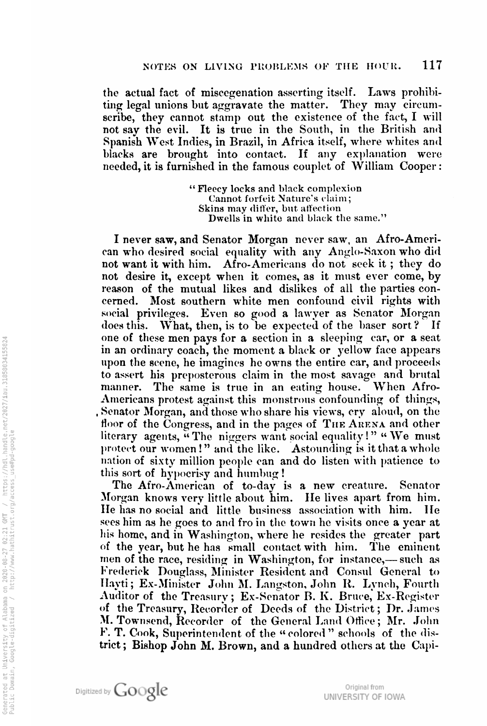the actual fact of miscegenation asserting itself. Laws prohibi ting legal unions but aggravate the matter. They may circum scribe, they cannot stamp out the existence of the fact, I will not say the evil. It is true in the South, in the British and Spanish West Indies, in Brazil, in Africa itself, where whites and blacks are brought into contact. If any explanation needed, it is furnished in the famous couplet of William Cooper:

> "Fleecy locks and black complexion Cannot forfeit Nature's claim; Skins may differ, but affection Dwells in white and black the same."

I never saw, and Senator Morgan never saw, an Afro-Ameri can who desired social equality with any Anglo-Saxon who did not want it with him. Afro-Americans do not seek it ; they do not desire it, except when it comes, as itmust ever come, by reason of the mutual likes and dislikes of all the parties concerned. Most southern white men confound civil rights with social privileges. Even so good <sup>a</sup> lawyer as Senator Morgan does this. What, then, is to be expected of the baser sort If one of these men pays for a section in a sleeping car, or a seat a in anordinary coach, the moment <sup>a</sup>black or yellow face appears upon the scene, he imagines heowns the entire car, and proceeds o assert his preposterous claim in the most savage and brutal manner. The same is true in an eating house. When Afro Americans protest against this monstrous confounding of things, Senator Morgan, and those who share his views, cry aloud, on the floor of the Congress, and in the pages of THE ARENA and other literary agents, "The niggers want social equality l'""We must protect our women l'" and the like. Astounding is itthat <sup>a</sup>whole nation of sixty million people can and do listen with patience to this sort of hypocrisy and humbug

The Afro-American of to-day is anew creature. Senator He lives apart from him. Morgan knows very little about him. He lives apart from him. He has no social and little business association with him. sees him as he goes to and fro in the town he visits once a year at his home, and in Washington, where he resides the greater part of the year, but he has small contact with him. The eminent men of the race, residing in Washington, for instance,—such as Frederick Douglass, Minister Resident and Consul General to Hayti; Ex-Minister John M. Langston, John R. Lynch, Fourth Auditor of the Treasury; Ex-Senator B.K. Bruce, Ex-Registe of the Treasury, Recorder of Deeds of the District; Dr. James M. Townsend, Recorder of the General Land Office; Mr. John F. T.Cook, Superintendent of the "colored" schools of the dis  $\text{trict; Bishop John M. Brown, and a hundred others at the Capi-}$